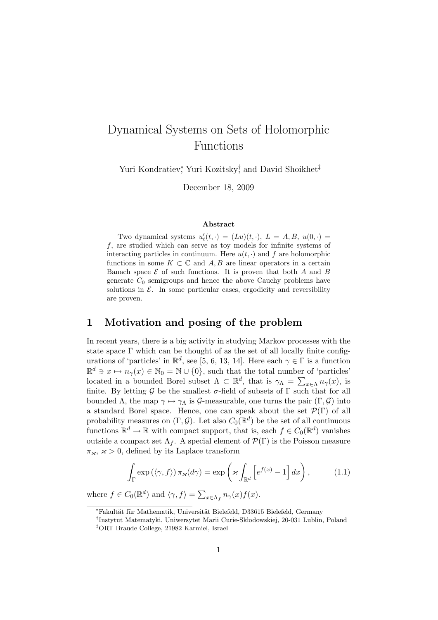# Dynamical Systems on Sets of Holomorphic Functions

Yuri Kondratiev*<sup>∗</sup>* , Yuri Kozitsky*†* , and David Shoikhet*‡*

December 18, 2009

#### **Abstract**

Two dynamical systems  $u'_t(t, \cdot) = (Lu)(t, \cdot), L = A, B, u(0, \cdot) =$ *f*, are studied which can serve as toy models for infinite systems of interacting particles in continuum. Here  $u(t, \cdot)$  and  $f$  are holomorphic functions in some  $K \subset \mathbb{C}$  and  $A, B$  are linear operators in a certain Banach space  $\mathcal E$  of such functions. It is proven that both  $A$  and  $B$ generate  $C_0$  semigroups and hence the above Cauchy problems have solutions in  $\mathcal{E}$ . In some particular cases, ergodicity and reversibility are proven.

## **1 Motivation and posing of the problem**

In recent years, there is a big activity in studying Markov processes with the state space  $\Gamma$  which can be thought of as the set of all locally finite configurations of 'particles' in  $\mathbb{R}^d$ , see [5, 6, 13, 14]. Here each  $\gamma \in \Gamma$  is a function  $\mathbb{R}^d \ni x \mapsto n_\gamma(x) \in \mathbb{N}_0 = \mathbb{N} \cup \{0\}$ , such that the total number of 'particles' located in a bounded Borel subset  $\Lambda \subset \mathbb{R}^d$ , that is  $\gamma_{\Lambda} = \sum_{x \in \Lambda} n_{\gamma}(x)$ , is finite. By letting  $\mathcal G$  be the smallest  $\sigma$ -field of subsets of  $\Gamma$  such that for all bounded  $\Lambda$ , the map  $\gamma \mapsto \gamma_{\Lambda}$  is *G*-measurable, one turns the pair  $(\Gamma, \mathcal{G})$  into a standard Borel space. Hence, one can speak about the set  $\mathcal{P}(\Gamma)$  of all probability measures on  $(\Gamma, \mathcal{G})$ . Let also  $C_0(\mathbb{R}^d)$  be the set of all continuous functions  $\mathbb{R}^d \to \mathbb{R}$  with compact support, that is, each  $f \in C_0(\mathbb{R}^d)$  vanishes outside a compact set  $\Lambda_f$ . A special element of  $\mathcal{P}(\Gamma)$  is the Poisson measure  $\pi_{\varkappa}, \varkappa > 0$ , defined by its Laplace transform

$$
\int_{\Gamma} \exp\left(\langle \gamma, f \rangle\right) \pi_{\varkappa}(d\gamma) = \exp\left(\varkappa \int_{\mathbb{R}^d} \left[e^{f(x)} - 1\right] dx\right),\tag{1.1}
$$

where  $f \in C_0(\mathbb{R}^d)$  and  $\langle \gamma, f \rangle = \sum_{x \in \Lambda_f} n_{\gamma}(x) f(x)$ .

*<sup>∗</sup>*Fakult¨at f¨ur Mathematik, Universit¨at Bielefeld, D33615 Bielefeld, Germany

<sup>&</sup>lt;sup>†</sup>Instytut Matematyki, Uniwersytet Marii Curie-Skłodowskiej, 20-031 Lublin, Poland *‡*ORT Braude College, 21982 Karmiel, Israel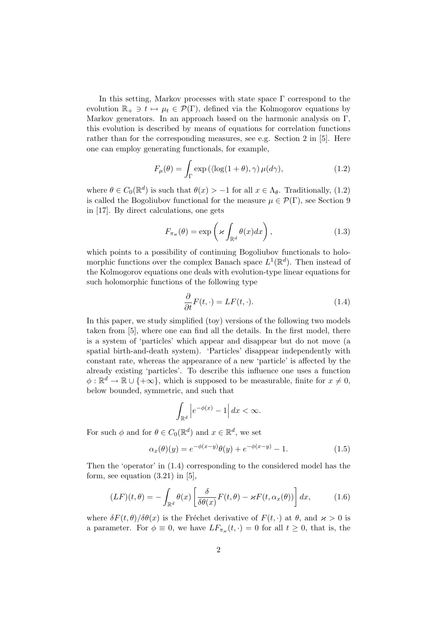In this setting, Markov processes with state space  $\Gamma$  correspond to the evolution  $\mathbb{R}_+ \ni t \mapsto \mu_t \in \mathcal{P}(\Gamma)$ , defined via the Kolmogorov equations by Markov generators. In an approach based on the harmonic analysis on Γ, this evolution is described by means of equations for correlation functions rather than for the corresponding measures, see e.g. Section 2 in [5]. Here one can employ generating functionals, for example,

$$
F_{\mu}(\theta) = \int_{\Gamma} \exp\left(\langle \log(1+\theta), \gamma\right) \mu(d\gamma),\tag{1.2}
$$

where  $\theta \in C_0(\mathbb{R}^d)$  is such that  $\theta(x) > -1$  for all  $x \in \Lambda_{\theta}$ . Traditionally, (1.2) is called the Bogoliubov functional for the measure  $\mu \in \mathcal{P}(\Gamma)$ , see Section 9 in [17]. By direct calculations, one gets

$$
F_{\pi_{\varkappa}}(\theta) = \exp\left(\varkappa \int_{\mathbb{R}^d} \theta(x) dx\right),\tag{1.3}
$$

which points to a possibility of continuing Bogoliubov functionals to holomorphic functions over the complex Banach space  $L^1(\mathbb{R}^d)$ . Then instead of the Kolmogorov equations one deals with evolution-type linear equations for such holomorphic functions of the following type

$$
\frac{\partial}{\partial t}F(t,\cdot) = LF(t,\cdot). \tag{1.4}
$$

In this paper, we study simplified (toy) versions of the following two models taken from [5], where one can find all the details. In the first model, there is a system of 'particles' which appear and disappear but do not move (a spatial birth-and-death system). 'Particles' disappear independently with constant rate, whereas the appearance of a new 'particle' is affected by the already existing 'particles'. To describe this influence one uses a function  $\phi: \mathbb{R}^d \to \mathbb{R} \cup \{+\infty\}$ , which is supposed to be measurable, finite for  $x \neq 0$ , below bounded, symmetric, and such that

$$
\int_{\mathbb{R}^d} \left| e^{-\phi(x)} - 1 \right| dx < \infty.
$$

For such  $\phi$  and for  $\theta \in C_0(\mathbb{R}^d)$  and  $x \in \mathbb{R}^d$ , we set

$$
\alpha_x(\theta)(y) = e^{-\phi(x-y)}\theta(y) + e^{-\phi(x-y)} - 1.
$$
\n(1.5)

Then the 'operator' in (1.4) corresponding to the considered model has the form, see equation  $(3.21)$  in [5],

$$
(LF)(t,\theta) = -\int_{\mathbb{R}^d} \theta(x) \left[ \frac{\delta}{\delta \theta(x)} F(t,\theta) - \varkappa F(t,\alpha_x(\theta)) \right] dx, \tag{1.6}
$$

where  $\delta F(t, \theta)/\delta \theta(x)$  is the Fréchet derivative of  $F(t, \cdot)$  at  $\theta$ , and  $x > 0$  is a parameter. For  $\phi \equiv 0$ , we have  $LF_{\pi_{\varkappa}}(t,\cdot) = 0$  for all  $t \geq 0$ , that is, the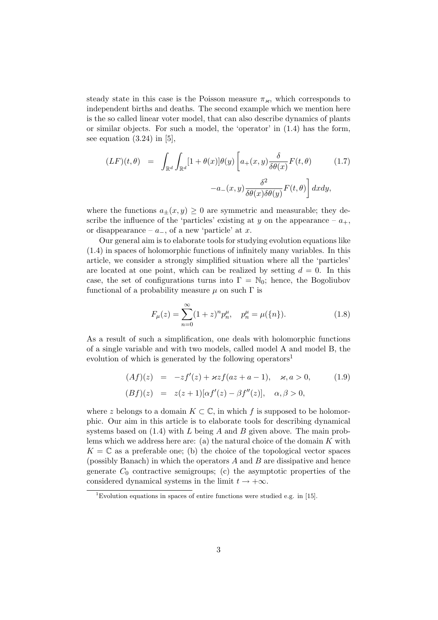steady state in this case is the Poisson measure  $\pi_{\kappa}$ , which corresponds to independent births and deaths. The second example which we mention here is the so called linear voter model, that can also describe dynamics of plants or similar objects. For such a model, the 'operator' in (1.4) has the form, see equation  $(3.24)$  in [5],

$$
(LF)(t, \theta) = \int_{\mathbb{R}^d} \int_{\mathbb{R}^d} [1 + \theta(x)] \theta(y) \left[ a_+(x, y) \frac{\delta}{\delta \theta(x)} F(t, \theta) \right] (1.7)
$$

$$
-a_-(x, y) \frac{\delta^2}{\delta \theta(x) \delta \theta(y)} F(t, \theta) \left[ dx dy, \right]
$$

where the functions  $a_{\pm}(x, y) \geq 0$  are symmetric and measurable; they describe the influence of the 'particles' existing at *y* on the appearance –  $a_+$ , or disappearance – *a−*, of a new 'particle' at *x*.

Our general aim is to elaborate tools for studying evolution equations like (1.4) in spaces of holomorphic functions of infinitely many variables. In this article, we consider a strongly simplified situation where all the 'particles' are located at one point, which can be realized by setting  $d = 0$ . In this case, the set of configurations turns into  $\Gamma = \mathbb{N}_0$ ; hence, the Bogoliubov functional of a probability measure  $\mu$  on such  $\Gamma$  is

$$
F_{\mu}(z) = \sum_{n=0}^{\infty} (1+z)^n p_n^{\mu}, \quad p_n^{\mu} = \mu(\{n\}).
$$
 (1.8)

As a result of such a simplification, one deals with holomorphic functions of a single variable and with two models, called model A and model B, the evolution of which is generated by the following operators<sup>1</sup>

$$
(Af)(z) = -zf'(z) + \kappa z f(az + a - 1), \quad \kappa, a > 0,
$$
  

$$
(Bf)(z) = z(z + 1)[\alpha f'(z) - \beta f''(z)], \quad \alpha, \beta > 0,
$$
 (1.9)

where *z* belongs to a domain  $K \subset \mathbb{C}$ , in which f is supposed to be holomorphic. Our aim in this article is to elaborate tools for describing dynamical systems based on (1.4) with *L* being *A* and *B* given above. The main problems which we address here are: (a) the natural choice of the domain *K* with  $K = \mathbb{C}$  as a preferable one; (b) the choice of the topological vector spaces (possibly Banach) in which the operators *A* and *B* are dissipative and hence generate  $C_0$  contractive semigroups; (c) the asymptotic properties of the considered dynamical systems in the limit  $t \to +\infty$ .

<sup>&</sup>lt;sup>1</sup>Evolution equations in spaces of entire functions were studied e.g. in [15].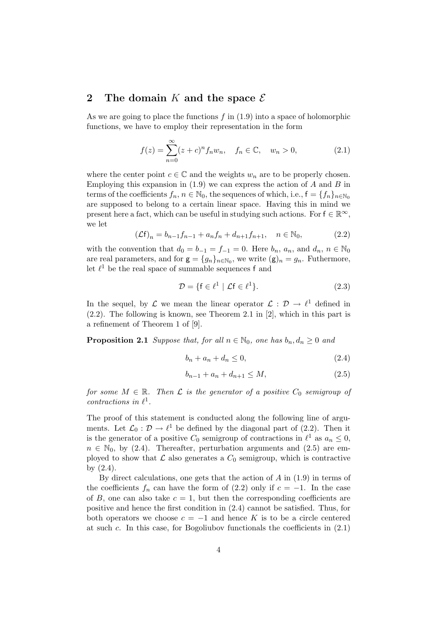## **2 The domain** *K* **and the space** *E*

As we are going to place the functions *f* in (1.9) into a space of holomorphic functions, we have to employ their representation in the form

$$
f(z) = \sum_{n=0}^{\infty} (z+c)^n f_n w_n, \quad f_n \in \mathbb{C}, \quad w_n > 0,
$$
 (2.1)

where the center point  $c \in \mathbb{C}$  and the weights  $w_n$  are to be properly chosen. Employing this expansion in (1.9) we can express the action of *A* and *B* in terms of the coefficients  $f_n, n \in \mathbb{N}_0$ , the sequences of which, i.e.,  $f = \{f_n\}_{n \in \mathbb{N}_0}$ are supposed to belong to a certain linear space. Having this in mind we present here a fact, which can be useful in studying such actions. For  $f \in \mathbb{R}^{\infty}$ , we let

$$
(\mathcal{L}\mathbf{f})_n = b_{n-1}f_{n-1} + a_nf_n + d_{n+1}f_{n+1}, \quad n \in \mathbb{N}_0,
$$
\n(2.2)

with the convention that  $d_0 = b_{-1} = f_{-1} = 0$ . Here  $b_n$ ,  $a_n$ , and  $d_n$ ,  $n \in \mathbb{N}_0$ are real parameters, and for  $\mathbf{g} = \{g_n\}_{n \in \mathbb{N}_0}$ , we write  $(\mathbf{g})_n = g_n$ . Futhermore, let  $\ell^1$  be the real space of summable sequences f and

$$
\mathcal{D} = \{ \mathbf{f} \in \ell^1 \mid \mathcal{L}\mathbf{f} \in \ell^1 \}. \tag{2.3}
$$

In the sequel, by  $\mathcal L$  we mean the linear operator  $\mathcal L : \mathcal D \to \ell^1$  defined in (2.2). The following is known, see Theorem 2.1 in [2], which in this part is a refinement of Theorem 1 of [9].

**Proposition 2.1** *Suppose that, for all*  $n \in \mathbb{N}_0$ *, one has*  $b_n, d_n \geq 0$  *and* 

$$
b_n + a_n + d_n \le 0,\t\t(2.4)
$$

$$
b_{n-1} + a_n + d_{n+1} \le M,\t\t(2.5)
$$

*for some*  $M \in \mathbb{R}$ *. Then*  $\mathcal{L}$  *is the generator of a positive*  $C_0$  *semigroup of contractions in*  $\ell^1$ *.* 

The proof of this statement is conducted along the following line of arguments. Let  $\mathcal{L}_0: \mathcal{D} \to \ell^1$  be defined by the diagonal part of (2.2). Then it is the generator of a positive  $C_0$  semigroup of contractions in  $\ell^1$  as  $a_n \leq 0$ ,  $n \in \mathbb{N}_0$ , by (2.4). Thereafter, perturbation arguments and (2.5) are employed to show that  $\mathcal L$  also generates a  $C_0$  semigroup, which is contractive by (2.4).

By direct calculations, one gets that the action of *A* in (1.9) in terms of the coefficients  $f_n$  can have the form of (2.2) only if  $c = -1$ . In the case of  $B$ , one can also take  $c = 1$ , but then the corresponding coefficients are positive and hence the first condition in (2.4) cannot be satisfied. Thus, for both operators we choose  $c = -1$  and hence K is to be a circle centered at such *c*. In this case, for Bogoliubov functionals the coefficients in (2.1)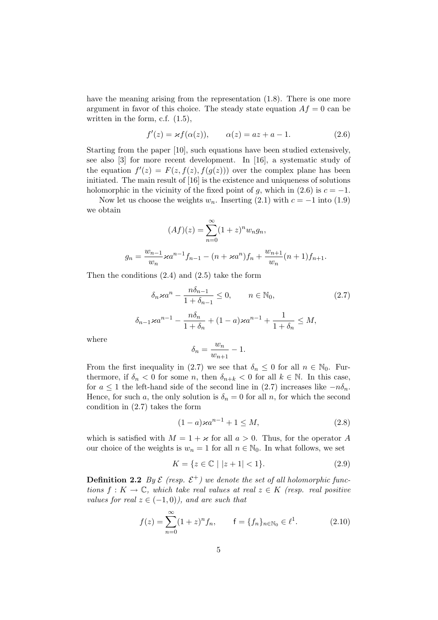have the meaning arising from the representation  $(1.8)$ . There is one more argument in favor of this choice. The steady state equation  $Af = 0$  can be written in the form, c.f. (1.5),

$$
f'(z) = \varkappa f(\alpha(z)), \qquad \alpha(z) = az + a - 1. \tag{2.6}
$$

Starting from the paper [10], such equations have been studied extensively, see also [3] for more recent development. In [16], a systematic study of the equation  $f'(z) = F(z, f(z), f(g(z)))$  over the complex plane has been initiated. The main result of [16] is the existence and uniqueness of solutions holomorphic in the vicinity of the fixed point of *g*, which in (2.6) is  $c = -1$ .

Now let us choose the weights  $w_n$ . Inserting (2.1) with  $c = -1$  into (1.9) we obtain

$$
(Af)(z) = \sum_{n=0}^{\infty} (1+z)^n w_n g_n,
$$
  

$$
g_n = \frac{w_{n-1}}{w_n} \varkappa a^{n-1} f_{n-1} - (n + \varkappa a^n) f_n + \frac{w_{n+1}}{w_n} (n+1) f_{n+1}.
$$

Then the conditions (2.4) and (2.5) take the form

$$
\delta_n \varkappa a^n - \frac{n\delta_{n-1}}{1 + \delta_{n-1}} \le 0, \qquad n \in \mathbb{N}_0,
$$
\n
$$
\delta_{n-1} \varkappa a^{n-1} - \frac{n\delta_n}{1 + \delta_n} + (1 - a) \varkappa a^{n-1} + \frac{1}{1 + \delta_n} \le M,
$$
\n
$$
(2.7)
$$

where

$$
\delta_n = \frac{w_n}{w_{n+1}} - 1.
$$

From the first inequality in (2.7) we see that  $\delta_n \leq 0$  for all  $n \in \mathbb{N}_0$ . Furthermore, if  $\delta_n < 0$  for some *n*, then  $\delta_{n+k} < 0$  for all  $k \in \mathbb{N}$ . In this case, for  $a \leq 1$  the left-hand side of the second line in (2.7) increases like  $-n\delta_n$ . Hence, for such *a*, the only solution is  $\delta_n = 0$  for all *n*, for which the second condition in (2.7) takes the form

$$
(1 - a)\varkappa a^{n-1} + 1 \le M,\t(2.8)
$$

which is satisfied with  $M = 1 + \varkappa$  for all  $a > 0$ . Thus, for the operator A our choice of the weights is  $w_n = 1$  for all  $n \in \mathbb{N}_0$ . In what follows, we set

$$
K = \{ z \in \mathbb{C} \mid |z + 1| < 1 \}. \tag{2.9}
$$

**Definition 2.2** *By*  $\mathcal{E}$  (resp.  $\mathcal{E}^+$ ) we denote the set of all holomorphic func*tions*  $f: K \to \mathbb{C}$ *, which take real values at real*  $z \in K$  *(resp. real positive values for real*  $z \in (-1,0)$ *), and are such that* 

$$
f(z) = \sum_{n=0}^{\infty} (1+z)^n f_n, \qquad f = \{f_n\}_{n \in \mathbb{N}_0} \in \ell^1.
$$
 (2.10)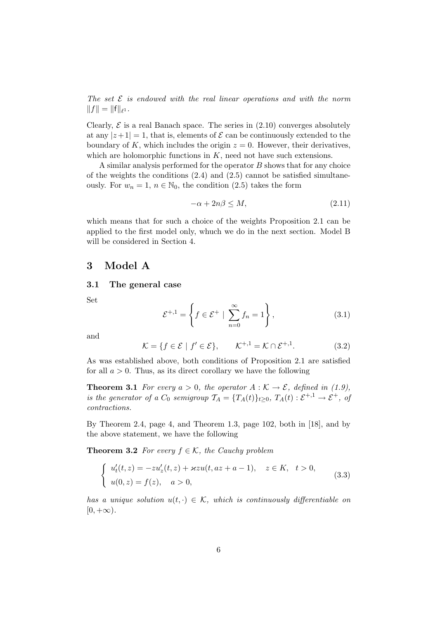*The set E is endowed with the real linear operations and with the norm*  $||f|| = ||f||_{\ell^1}.$ 

Clearly,  $\mathcal E$  is a real Banach space. The series in  $(2.10)$  converges absolutely at any  $|z+1|=1$ , that is, elements of  $\mathcal E$  can be continuously extended to the boundary of K, which includes the origin  $z = 0$ . However, their derivatives, which are holomorphic functions in *K*, need not have such extensions.

A similar analysis performed for the operator *B* shows that for any choice of the weights the conditions  $(2.4)$  and  $(2.5)$  cannot be satisfied simultaneously. For  $w_n = 1$ ,  $n \in \mathbb{N}_0$ , the condition (2.5) takes the form

$$
-\alpha + 2n\beta \le M,\tag{2.11}
$$

which means that for such a choice of the weights Proposition 2.1 can be applied to the first model only, whuch we do in the next section. Model B will be considered in Section 4.

## **3 Model A**

#### **3.1 The general case**

Set

$$
\mathcal{E}^{+,1} = \left\{ f \in \mathcal{E}^+ \mid \sum_{n=0}^{\infty} f_n = 1 \right\},\tag{3.1}
$$

and

$$
\mathcal{K} = \{ f \in \mathcal{E} \mid f' \in \mathcal{E} \}, \qquad \mathcal{K}^{+,1} = \mathcal{K} \cap \mathcal{E}^{+,1}.
$$
 (3.2)

As was established above, both conditions of Proposition 2.1 are satisfied for all  $a > 0$ . Thus, as its direct corollary we have the following

**Theorem 3.1** *For every*  $a > 0$ *, the operator*  $A : K \to \mathcal{E}$ *, defined in (1.9), is the generator of a*  $C_0$  *semigroup*  $\mathcal{T}_A = \{T_A(t)\}_{t \geq 0}$ ,  $T_A(t) : \mathcal{E}^{+,1} \to \mathcal{E}^+$ , of *contractions.*

By Theorem 2.4, page 4, and Theorem 1.3, page 102, both in [18], and by the above statement, we have the following

**Theorem 3.2** *For every*  $f \in \mathcal{K}$ *, the Cauchy problem* 

$$
\begin{cases}\nu'_t(t,z) = -zu'_z(t,z) + \varkappa zu(t,az+a-1), & z \in K, \ t > 0, \\
u(0,z) = f(z), & a > 0,\n\end{cases}
$$
\n(3.3)

*has a unique solution*  $u(t, \cdot) \in \mathcal{K}$ , which is continuously differentiable on  $[0, +\infty)$ .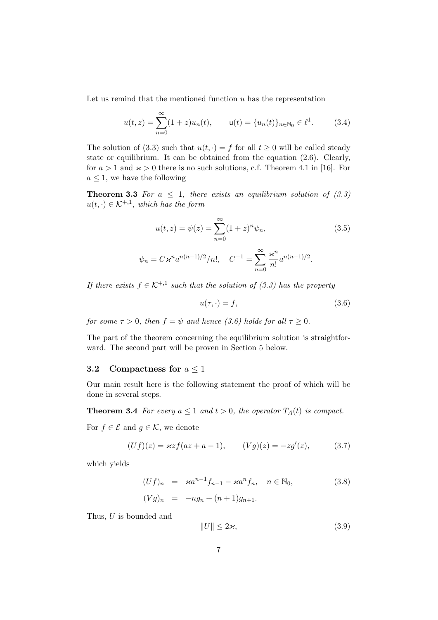Let us remind that the mentioned function *u* has the representation

$$
u(t,z) = \sum_{n=0}^{\infty} (1+z)u_n(t), \qquad \mathbf{u}(t) = \{u_n(t)\}_{n \in \mathbb{N}_0} \in \ell^1.
$$
 (3.4)

The solution of (3.3) such that  $u(t, \cdot) = f$  for all  $t \ge 0$  will be called steady state or equilibrium. It can be obtained from the equation (2.6). Clearly, for  $a > 1$  and  $\varkappa > 0$  there is no such solutions, c.f. Theorem 4.1 in [16]. For  $a \leq 1$ , we have the following

**Theorem 3.3** *For*  $a \leq 1$ *, there exists an equilibrium solution of (3.3)*  $u(t, \cdot) \in \mathcal{K}^{+,1}$ , which has the form

$$
u(t, z) = \psi(z) = \sum_{n=0}^{\infty} (1 + z)^n \psi_n,
$$
\n
$$
\psi_n = C \varkappa^n a^{n(n-1)/2} / n!, \quad C^{-1} = \sum_{n=0}^{\infty} \frac{\varkappa^n}{n!} a^{n(n-1)/2}.
$$
\n(3.5)

*If there exists*  $f \in \mathcal{K}^{+,1}$  such that the solution of (3.3) has the property

$$
u(\tau, \cdot) = f,\tag{3.6}
$$

*for some*  $\tau > 0$ *, then*  $f = \psi$  *and hence* (3.6) holds for all  $\tau \geq 0$ *.* 

The part of the theorem concerning the equilibrium solution is straightforward. The second part will be proven in Section 5 below.

### **3.2** Compactness for  $a \leq 1$

Our main result here is the following statement the proof of which will be done in several steps.

**Theorem 3.4** *For every*  $a \leq 1$  *and*  $t > 0$ *, the operator*  $T_A(t)$  *is compact.* 

For  $f \in \mathcal{E}$  and  $g \in \mathcal{K}$ , we denote

$$
(Uf)(z) = \varkappa z f(az + a - 1), \qquad (Vg)(z) = -zg'(z), \tag{3.7}
$$

which yields

$$
(Uf)_n = \varkappa a^{n-1} f_{n-1} - \varkappa a^n f_n, \quad n \in \mathbb{N}_0,
$$
  

$$
(Vg)_n = -ng_n + (n+1)g_{n+1}.
$$
 (3.8)

Thus, *U* is bounded and

 $||U|| \leq 2\varkappa,$  (3.9)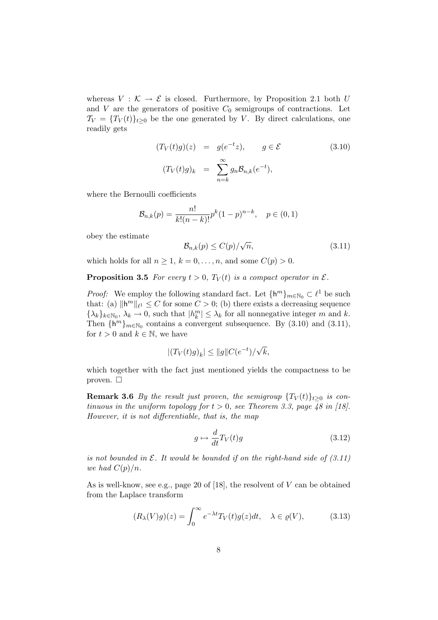whereas  $V : \mathcal{K} \to \mathcal{E}$  is closed. Furthermore, by Proposition 2.1 both *U* and *V* are the generators of positive  $C_0$  semigroups of contractions. Let  $\mathcal{T}_V = \{T_V(t)\}_{t>0}$  be the one generated by *V*. By direct calculations, one readily gets

$$
(T_V(t)g)(z) = g(e^{-t}z), \qquad g \in \mathcal{E}
$$
  

$$
(T_V(t)g)_k = \sum_{n=k}^{\infty} g_n \mathcal{B}_{n,k}(e^{-t}),
$$
 (3.10)

where the Bernoulli coefficients

$$
\mathcal{B}_{n,k}(p) = \frac{n!}{k!(n-k)!}p^k(1-p)^{n-k}, \quad p \in (0,1)
$$

obey the estimate

$$
\mathcal{B}_{n,k}(p) \le C(p)/\sqrt{n},\tag{3.11}
$$

which holds for all  $n \geq 1$ ,  $k = 0, \ldots, n$ , and some  $C(p) > 0$ .

**Proposition 3.5** *For every*  $t > 0$ *,*  $T_V(t)$  *is a compact operator in*  $\mathcal{E}$ *.* 

*Proof:* We employ the following standard fact. Let  $\{h^m\}_{m \in \mathbb{N}_0} \subset \ell^1$  be such that: (a)  $\|\mathbf{h}^m\|_{\ell^1} \leq C$  for some  $C > 0$ ; (b) there exists a decreasing sequence  $\{\lambda_k\}_{k \in \mathbb{N}_0}, \lambda_k \to 0$ , such that  $|h_k^m| \leq \lambda_k$  for all nonnegative integer *m* and *k*. Then  $\{h^m\}_{m\in\mathbb{N}_0}$  contains a convergent subsequence. By (3.10) and (3.11), for  $t > 0$  and  $k \in \mathbb{N}$ , we have

$$
|(T_V(t)g)_k| \le ||g||C(e^{-t})/\sqrt{k},
$$

which together with the fact just mentioned yields the compactness to be proven.  $\Box$ 

**Remark 3.6** *By the result just proven, the semigroup*  $\{T_V(t)\}_{t\geq0}$  *is continuous in the uniform topology for*  $t > 0$ *, see Theorem 3.3, page 48 in [18]. However, it is not differentiable, that is, the map*

$$
g \mapsto \frac{d}{dt}T_V(t)g\tag{3.12}
$$

*is not bounded in E. It would be bounded if on the right-hand side of (3.11) we had*  $C(p)/n$ *.* 

As is well-know, see e.g., page 20 of [18], the resolvent of *V* can be obtained from the Laplace transform

$$
(R_{\lambda}(V)g)(z) = \int_0^\infty e^{-\lambda t} T_V(t)g(z)dt, \quad \lambda \in \varrho(V), \tag{3.13}
$$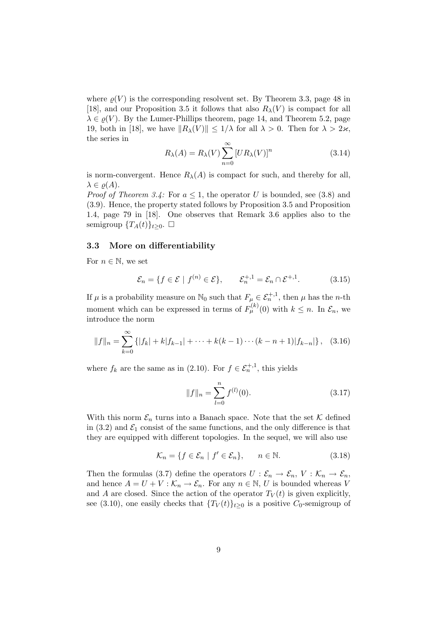where  $\rho(V)$  is the corresponding resolvent set. By Theorem 3.3, page 48 in [18], and our Proposition 3.5 it follows that also  $R_\lambda(V)$  is compact for all  $\lambda \in \rho(V)$ . By the Lumer-Phillips theorem, page 14, and Theorem 5.2, page 19, both in [18], we have  $||R_{\lambda}(V)|| \leq 1/\lambda$  for all  $\lambda > 0$ . Then for  $\lambda > 2\varkappa$ , the series in

$$
R_{\lambda}(A) = R_{\lambda}(V) \sum_{n=0}^{\infty} [UR_{\lambda}(V)]^n
$$
\n(3.14)

is norm-convergent. Hence  $R_{\lambda}(A)$  is compact for such, and thereby for all,  $\lambda \in \rho(A)$ .

*Proof of Theorem 3.4:* For  $a \leq 1$ , the operator *U* is bounded, see (3.8) and (3.9). Hence, the property stated follows by Proposition 3.5 and Proposition 1.4, page 79 in [18]. One observes that Remark 3.6 applies also to the semigroup  $\{T_A(t)\}_{t>0}$ .  $\Box$ 

### **3.3 More on differentiability**

For  $n \in \mathbb{N}$ , we set

$$
\mathcal{E}_n = \{ f \in \mathcal{E} \mid f^{(n)} \in \mathcal{E} \}, \qquad \mathcal{E}_n^{+,1} = \mathcal{E}_n \cap \mathcal{E}^{+,1}.
$$
 (3.15)

If  $\mu$  is a probability measure on  $\mathbb{N}_0$  such that  $F_{\mu} \in \mathcal{E}_n^{+,1}$ , then  $\mu$  has the *n*-th moment which can be expressed in terms of  $F_{\mu}^{(k)}(0)$  with  $k \leq n$ . In  $\mathcal{E}_n$ , we introduce the norm

$$
||f||_n = \sum_{k=0}^{\infty} \{ |f_k| + k |f_{k-1}| + \dots + k(k-1) \cdots (k-n+1) |f_{k-n}| \}, \quad (3.16)
$$

where  $f_k$  are the same as in (2.10). For  $f \in \mathcal{E}_n^{+,1}$ , this yields

$$
||f||_n = \sum_{l=0}^n f^{(l)}(0). \tag{3.17}
$$

With this norm  $\mathcal{E}_n$  turns into a Banach space. Note that the set  $\mathcal K$  defined in  $(3.2)$  and  $\mathcal{E}_1$  consist of the same functions, and the only difference is that they are equipped with different topologies. In the sequel, we will also use

$$
\mathcal{K}_n = \{ f \in \mathcal{E}_n \mid f' \in \mathcal{E}_n \}, \qquad n \in \mathbb{N}.
$$
 (3.18)

Then the formulas (3.7) define the operators  $U: \mathcal{E}_n \to \mathcal{E}_n$ ,  $V: \mathcal{K}_n \to \mathcal{E}_n$ , and hence  $A = U + V : \mathcal{K}_n \to \mathcal{E}_n$ . For any  $n \in \mathbb{N}, U$  is bounded whereas V and *A* are closed. Since the action of the operator  $T_V(t)$  is given explicitly, see (3.10), one easily checks that  ${T_V(t)}_{t>0}$  is a positive  $C_0$ -semigroup of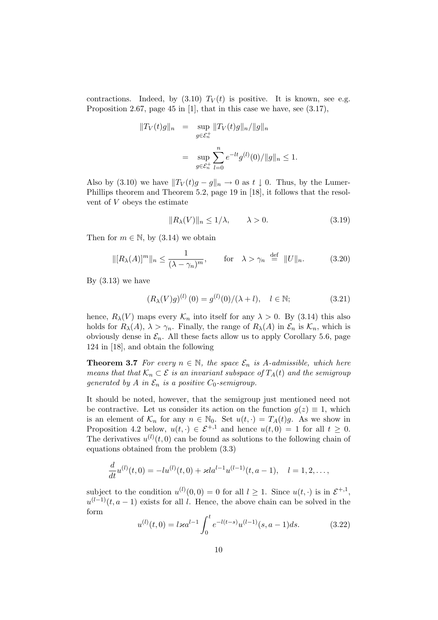contractions. Indeed, by  $(3.10)$   $T_V(t)$  is positive. It is known, see e.g. Proposition 2.67, page 45 in [1], that in this case we have, see (3.17),

$$
||T_V(t)g||_n = \sup_{g \in \mathcal{E}_n^+} ||T_V(t)g||_n / ||g||_n
$$
  
= 
$$
\sup_{g \in \mathcal{E}_n^+} \sum_{l=0}^n e^{-lt} g^{(l)}(0) / ||g||_n \le 1.
$$

Also by (3.10) we have  $||T_V(t)g - g||_n \to 0$  as  $t \downarrow 0$ . Thus, by the Lumer-Phillips theorem and Theorem 5.2, page 19 in [18], it follows that the resolvent of *V* obeys the estimate

$$
||R_{\lambda}(V)||_{n} \le 1/\lambda, \qquad \lambda > 0. \tag{3.19}
$$

Then for  $m \in \mathbb{N}$ , by (3.14) we obtain

$$
\| [R_{\lambda}(A)]^m \|_n \le \frac{1}{(\lambda - \gamma_n)^m}, \qquad \text{for} \quad \lambda > \gamma_n \stackrel{\text{def}}{=} \| U \|_n. \tag{3.20}
$$

By  $(3.13)$  we have

$$
(R_{\lambda}(V)g)^{(l)}(0) = g^{(l)}(0)/(\lambda + l), \quad l \in \mathbb{N};
$$
\n(3.21)

hence,  $R_{\lambda}(V)$  maps every  $\mathcal{K}_n$  into itself for any  $\lambda > 0$ . By (3.14) this also holds for  $R_\lambda(A)$ ,  $\lambda > \gamma_n$ . Finally, the range of  $R_\lambda(A)$  in  $\mathcal{E}_n$  is  $\mathcal{K}_n$ , which is obviously dense in  $\mathcal{E}_n$ . All these facts allow us to apply Corollary 5.6, page 124 in [18], and obtain the following

**Theorem 3.7** *For every*  $n \in \mathbb{N}$ *, the space*  $\mathcal{E}_n$  *is A-admissible, which here means that that*  $K_n \subset \mathcal{E}$  *is an invariant subspace of*  $T_A(t)$  *and the semigroup generated by A in*  $\mathcal{E}_n$  *is a positive*  $C_0$ *-semigroup.* 

It should be noted, however, that the semigroup just mentioned need not be contractive. Let us consider its action on the function  $g(z) \equiv 1$ , which is an element of  $K_n$  for any  $n \in \mathbb{N}_0$ . Set  $u(t, \cdot) = T_A(t)g$ . As we show in Proposition 4.2 below,  $u(t, \cdot) \in \mathcal{E}^{+,1}$  and hence  $u(t, 0) = 1$  for all  $t \geq 0$ . The derivatives  $u^{(l)}(t,0)$  can be found as solutions to the following chain of equations obtained from the problem (3.3)

$$
\frac{d}{dt}u^{(l)}(t,0) = -lu^{(l)}(t,0) + \varkappa l a^{l-1} u^{(l-1)}(t,a-1), \quad l = 1,2,\ldots,
$$

subject to the condition  $u^{(l)}(0,0) = 0$  for all  $l \geq 1$ . Since  $u(t, \cdot)$  is in  $\mathcal{E}^{+,1}$ ,  $u^{(l-1)}(t, a-1)$  exists for all *l*. Hence, the above chain can be solved in the form

$$
u^{(l)}(t,0) = l \varkappa a^{l-1} \int_0^t e^{-l(t-s)} u^{(l-1)}(s, a-1) ds.
$$
 (3.22)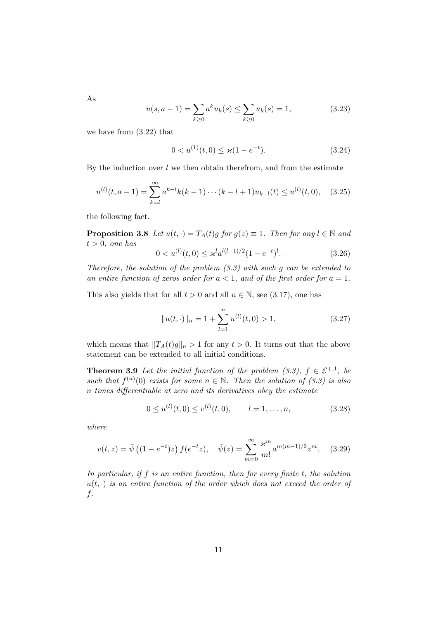$u(s,a-1) = \sum$ *k≥*0  $a^k u_k(s) \leq \sum$ *k≥*0  $u_k(s) = 1,$  (3.23)

we have from (3.22) that

$$
0 < u^{(1)}(t,0) \le \varkappa (1 - e^{-t}).\tag{3.24}
$$

By the induction over  $l$  we then obtain therefrom, and from the estimate

$$
u^{(l)}(t, a-1) = \sum_{k=l}^{\infty} a^{k-l} k(k-1) \cdots (k-l+1) u_{k-l}(t) \le u^{(l)}(t, 0), \quad (3.25)
$$

the following fact.

**Proposition 3.8** *Let*  $u(t, \cdot) = T_A(t)g$  *for*  $g(z) \equiv 1$ *. Then for any*  $l \in \mathbb{N}$  *and*  $t > 0$ *, one has* 

$$
0 < u^{(l)}(t,0) \le \varkappa^l a^{l(l-1)/2} (1 - e^{-t})^l. \tag{3.26}
$$

*Therefore, the solution of the problem (3.3) with such g can be extended to* an entire function of zeros order for  $a < 1$ , and of the first order for  $a = 1$ .

This also yields that for all  $t > 0$  and all  $n \in \mathbb{N}$ , see (3.17), one has

$$
||u(t, \cdot)||_n = 1 + \sum_{l=1}^{n} u^{(l)}(t, 0) > 1,
$$
\n(3.27)

which means that  $||T_A(t)g||_n > 1$  for any  $t > 0$ . It turns out that the above statement can be extended to all initial conditions.

**Theorem 3.9** Let the initial function of the problem  $(3.3)$ ,  $f \in \mathcal{E}^{+,1}$ , be *such that*  $f^{(n)}(0)$  *exists for some*  $n \in \mathbb{N}$ *. Then the solution of* (3.3) *is also n times differentiable at zero and its derivatives obey the estimate*

$$
0 \le u^{(l)}(t,0) \le v^{(l)}(t,0), \qquad l = 1, \dots, n,
$$
\n(3.28)

*where*

$$
v(t,z) = \tilde{\psi}\left((1 - e^{-t})z\right)f(e^{-t}z), \quad \tilde{\psi}(z) = \sum_{m=0}^{\infty} \frac{\varkappa^m}{m!} a^{m(m-1)/2} z^m. \tag{3.29}
$$

*In particular, if f is an entire function, then for every finite t, the solution*  $u(t, \cdot)$  *is an entire function of the order which does not exceed the order of f.*

As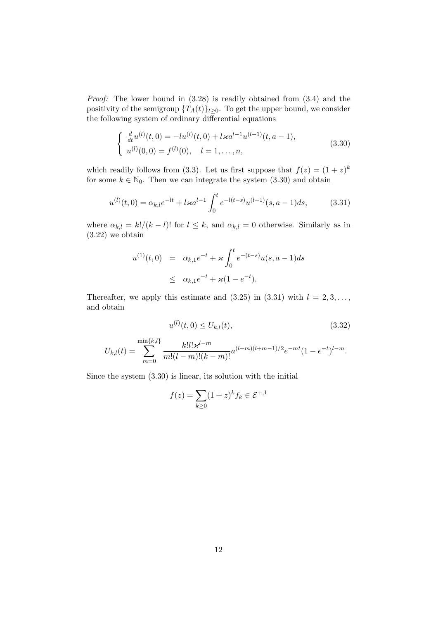*Proof:* The lower bound in (3.28) is readily obtained from (3.4) and the positivity of the semigroup  ${T_A(t)}_{t>0}$ . To get the upper bound, we consider the following system of ordinary differential equations

$$
\begin{cases}\n\frac{d}{dt}u^{(l)}(t,0) = -lu^{(l)}(t,0) + l \times a^{l-1} u^{(l-1)}(t,a-1), \\
u^{(l)}(0,0) = f^{(l)}(0), \quad l = 1,\dots,n,\n\end{cases}
$$
\n(3.30)

which readily follows from (3.3). Let us first suppose that  $f(z) = (1+z)^k$ for some  $k \in \mathbb{N}_0$ . Then we can integrate the system  $(3.30)$  and obtain

$$
u^{(l)}(t,0) = \alpha_{k,l}e^{-lt} + l \varkappa a^{l-1} \int_0^t e^{-l(t-s)} u^{(l-1)}(s, a-1) ds,
$$
 (3.31)

where  $\alpha_{k,l} = k!/(k-l)!$  for  $l \leq k$ , and  $\alpha_{k,l} = 0$  otherwise. Similarly as in (3.22) we obtain

$$
u^{(1)}(t,0) = \alpha_{k,1}e^{-t} + \varkappa \int_0^t e^{-(t-s)}u(s,a-1)ds
$$
  
 
$$
\leq \alpha_{k,1}e^{-t} + \varkappa(1-e^{-t}).
$$

Thereafter, we apply this estimate and  $(3.25)$  in  $(3.31)$  with  $l = 2, 3, \ldots$ , and obtain

$$
u^{(l)}(t,0) \le U_{k,l}(t),\tag{3.32}
$$

$$
U_{k,l}(t) = \sum_{m=0}^{\min\{k,l\}} \frac{k! l! \varkappa^{l-m}}{m!(l-m)!(k-m)!} a^{(l-m)(l+m-1)/2} e^{-mt} (1 - e^{-t})^{l-m}.
$$

Since the system (3.30) is linear, its solution with the initial

$$
f(z) = \sum_{k \ge 0} (1+z)^k f_k \in \mathcal{E}^{+,1}
$$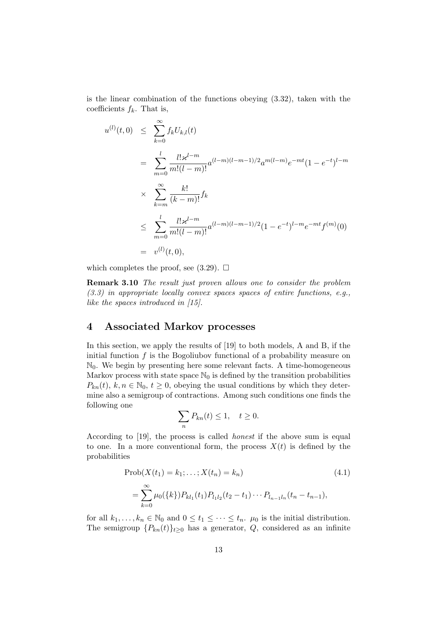is the linear combination of the functions obeying (3.32), taken with the coefficients  $f_k$ . That is,

$$
u^{(l)}(t,0) \leq \sum_{k=0}^{\infty} f_k U_{k,l}(t)
$$
  
\n
$$
= \sum_{m=0}^{l} \frac{l! \, x^{l-m}}{m!(l-m)!} a^{(l-m)(l-m-1)/2} a^{m(l-m)} e^{-mt} (1 - e^{-t})^{l-m}
$$
  
\n
$$
\times \sum_{k=m}^{\infty} \frac{k!}{(k-m)!} f_k
$$
  
\n
$$
\leq \sum_{m=0}^{l} \frac{l! \, x^{l-m}}{m!(l-m)!} a^{(l-m)(l-m-1)/2} (1 - e^{-t})^{l-m} e^{-mt} f^{(m)}(0)
$$
  
\n
$$
= v^{(l)}(t,0),
$$

which completes the proof, see  $(3.29)$ .  $\Box$ 

**Remark 3.10** *The result just proven allows one to consider the problem (3.3) in appropriate locally convex spaces spaces of entire functions, e.g., like the spaces introduced in [15].*

## **4 Associated Markov processes**

In this section, we apply the results of [19] to both models, A and B, if the initial function *f* is the Bogoliubov functional of a probability measure on  $\mathbb{N}_0$ . We begin by presenting here some relevant facts. A time-homogeneous Markov process with state space  $\mathbb{N}_0$  is defined by the transition probabilities  $P_{kn}(t)$ ,  $k, n \in \mathbb{N}_0$ ,  $t \geq 0$ , obeying the usual conditions by which they determine also a semigroup of contractions. Among such conditions one finds the following one

$$
\sum_n P_{kn}(t) \le 1, \quad t \ge 0.
$$

According to [19], the process is called *honest* if the above sum is equal to one. In a more conventional form, the process  $X(t)$  is defined by the probabilities

$$
\text{Prob}(X(t_1) = k_1; \dots; X(t_n) = k_n)
$$
\n
$$
= \sum_{k=0}^{\infty} \mu_0(\{k\}) P_{kl_1}(t_1) P_{l_1l_2}(t_2 - t_1) \cdots P_{l_{n-1}l_n}(t_n - t_{n-1}),
$$
\n(4.1)

for all  $k_1, \ldots, k_n \in \mathbb{N}_0$  and  $0 \le t_1 \le \cdots \le t_n$ .  $\mu_0$  is the initial distribution. The semigroup  ${P_{kn}(t)}_{t\geq0}$  has a generator, *Q*, considered as an infinite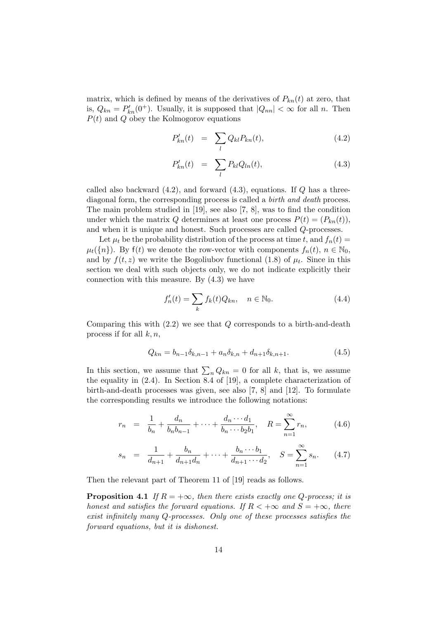matrix, which is defined by means of the derivatives of  $P_{kn}(t)$  at zero, that is,  $Q_{kn} = P'_{kn}(0^+)$ . Usually, it is supposed that  $|Q_{nn}| < \infty$  for all *n*. Then *P*(*t*) and *Q* obey the Kolmogorov equations

$$
P'_{kn}(t) = \sum_{l} Q_{kl} P_{kn}(t), \qquad (4.2)
$$

$$
P'_{kn}(t) = \sum_{l} P_{kl} Q_{ln}(t), \qquad (4.3)
$$

called also backward (4.2), and forward (4.3), equations. If *Q* has a threediagonal form, the corresponding process is called a *birth and death* process. The main problem studied in [19], see also [7, 8], was to find the condition under which the matrix *Q* determines at least one process  $P(t) = (P_{kn}(t)),$ and when it is unique and honest. Such processes are called *Q*-processes.

Let  $\mu_t$  be the probability distribution of the process at time *t*, and  $f_n(t)$  $\mu_t(\{n\})$ . By  $f(t)$  we denote the row-vector with components  $f_n(t), n \in \mathbb{N}_0$ , and by  $f(t, z)$  we write the Bogoliubov functional (1.8) of  $\mu_t$ . Since in this section we deal with such objects only, we do not indicate explicitly their connection with this measure. By (4.3) we have

$$
f'_n(t) = \sum_k f_k(t) Q_{kn}, \quad n \in \mathbb{N}_0.
$$
\n(4.4)

Comparing this with (2.2) we see that *Q* corresponds to a birth-and-death process if for all *k, n*,

$$
Q_{kn} = b_{n-1} \delta_{k,n-1} + a_n \delta_{k,n} + d_{n+1} \delta_{k,n+1}.
$$
\n(4.5)

In this section, we assume that  $\sum_{n} Q_{kn} = 0$  for all *k*, that is, we assume the equality in (2.4). In Section 8.4 of [19], a complete characterization of birth-and-death processes was given, see also [7, 8] and [12]. To formulate the corresponding results we introduce the following notations:

$$
r_n = \frac{1}{b_n} + \frac{d_n}{b_n b_{n-1}} + \dots + \frac{d_n \cdots d_1}{b_n \cdots b_2 b_1}, \quad R = \sum_{n=1}^{\infty} r_n,
$$
 (4.6)

$$
s_n = \frac{1}{d_{n+1}} + \frac{b_n}{d_{n+1}d_n} + \dots + \frac{b_n \cdots b_1}{d_{n+1} \cdots d_2}, \quad S = \sum_{n=1}^{\infty} s_n. \tag{4.7}
$$

Then the relevant part of Theorem 11 of [19] reads as follows.

**Proposition 4.1** *If*  $R = +\infty$ *, then there exists exactly one Q-process; it is honest and satisfies the forward equations. If*  $R < +\infty$  *and*  $S = +\infty$ *, there exist infinitely many Q-processes. Only one of these processes satisfies the forward equations, but it is dishonest.*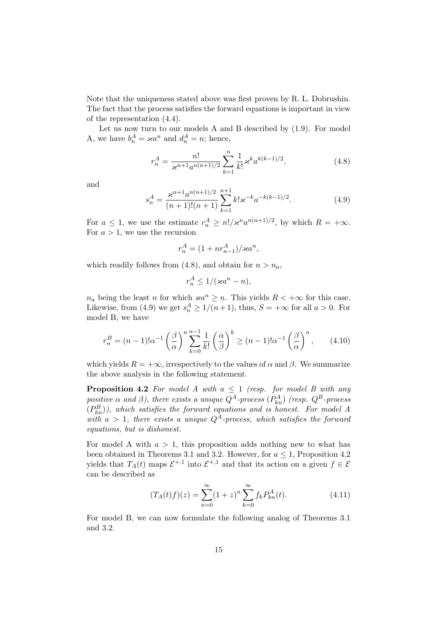Note that the uniqueness stated above was first proven by R. L. Dobrushin. The fact that the process satisfies the forward equations is important in view of the representation (4.4).

Let us now turn to our models A and B described by (1.9). For model A, we have  $b_n^A = \varkappa a^n$  and  $d_n^A = n$ ; hence,

$$
r_n^A = \frac{n!}{\varkappa^{n+1} a^{n(n+1)/2}} \sum_{k=1}^n \frac{1}{k!} \varkappa^k a^{k(k-1)/2},\tag{4.8}
$$

and

$$
s_n^A = \frac{\varkappa^{n+1} a^{n(n+1)/2}}{(n+1)!(n+1)} \sum_{k=1}^{n+1} k! \varkappa^{-k} a^{-k(k-1)/2}.
$$
 (4.9)

For  $a \leq 1$ , we use the estimate  $r_n^A \geq n! / \varkappa^n a^{n(n+1)/2}$ , by which  $R = +\infty$ . For  $a > 1$ , we use the recursion

$$
r_n^A = (1 + nr_{n-1}^A)/\varkappa a^n,
$$

which readily follows from  $(4.8)$ , and obtain for  $n > n_a$ ,

$$
r_n^A \le 1/(\varkappa a^n - n),
$$

*n<sub>a</sub>* being the least *n* for which  $\varkappa a^n \geq n$ . This yields  $R < +\infty$  for this case. Likewise, from (4.9) we get  $s_n^A \geq 1/(n+1)$ , thus,  $S = +\infty$  for all  $a > 0$ . For model B, we have

$$
r_n^B = (n-1)!\alpha^{-1} \left(\frac{\beta}{\alpha}\right)^n \sum_{k=0}^{n-1} \frac{1}{k!} \left(\frac{\alpha}{\beta}\right)^k \ge (n-1)!\alpha^{-1} \left(\frac{\beta}{\alpha}\right)^n, \qquad (4.10)
$$

which yields  $R = +\infty$ , irrespectively to the values of  $\alpha$  and  $\beta$ . We summarize the above analysis in the following statement.

**Proposition 4.2** *For model A with*  $a \leq 1$  *(resp. for model B with any positive*  $\alpha$  *and*  $\beta$ *), there exists a unique*  $Q^A$ *-process*  $(P^A_{kn})$  *(resp.*  $Q^B$ *-process*  $(P_{kn}^B)$ ), which satisfies the forward equations and is honest. For model A with  $a > 1$ , there exists a unique  $Q^A$ -process, which satisfies the forward *equations, but is dishonest.*

For model A with  $a > 1$ , this proposition adds nothing new to what has been obtained in Theorems 3.1 and 3.2. However, for  $a \leq 1$ , Proposition 4.2 yields that  $T_A(t)$  maps  $\mathcal{E}^{+,1}$  into  $\mathcal{E}^{+,1}$  and that its action on a given  $f \in \mathcal{E}$ can be described as

$$
(T_A(t)f)(z) = \sum_{n=0}^{\infty} (1+z)^n \sum_{k=0}^{\infty} f_k P_{kn}^A(t).
$$
 (4.11)

For model B, we can now formulate the following analog of Theorems 3.1 and 3.2.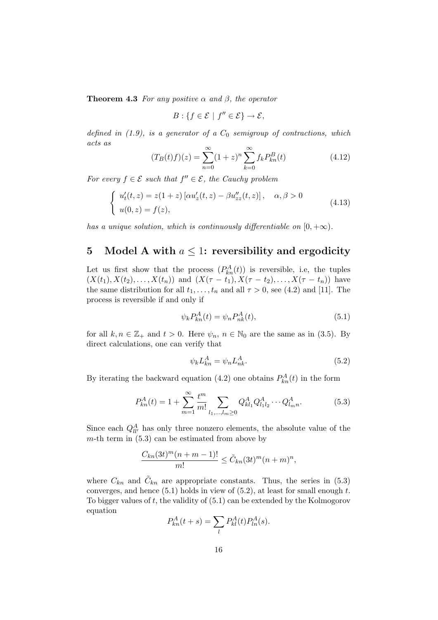**Theorem 4.3** *For any positive*  $\alpha$  *and*  $\beta$ *, the operator* 

$$
B: \{f \in \mathcal{E} \mid f'' \in \mathcal{E}\} \to \mathcal{E},
$$

*defined in (1.9), is a generator of a C*<sup>0</sup> *semigroup of contractions, which acts as*

$$
(T_B(t)f)(z) = \sum_{n=0}^{\infty} (1+z)^n \sum_{k=0}^{\infty} f_k P_{kn}^B(t)
$$
\n(4.12)

*For every*  $f \in \mathcal{E}$  *such that*  $f'' \in \mathcal{E}$ *, the Cauchy problem* 

$$
\begin{cases}\nu'_{t}(t,z) = z(1+z) \left[ \alpha u'_{z}(t,z) - \beta u''_{zz}(t,z) \right], & \alpha, \beta > 0 \\
u(0,z) = f(z), & (4.13)\n\end{cases}
$$

*has a unique solution, which is continuously differentiable on*  $[0, +\infty)$ *.* 

## **5** Model A with  $a \leq 1$ : reversibility and ergodicity

Let us first show that the process  $(P_{kn}^A(t))$  is reversible, i.e, the tuples  $(X(t_1), X(t_2), \ldots, X(t_n))$  and  $(X(\tau - t_1), X(\tau - t_2), \ldots, X(\tau - t_n))$  have the same distribution for all  $t_1, \ldots, t_n$  and all  $\tau > 0$ , see (4.2) and [11]. The process is reversible if and only if

$$
\psi_k P_{kn}^A(t) = \psi_n P_{nk}^A(t),\tag{5.1}
$$

for all  $k, n \in \mathbb{Z}_+$  and  $t > 0$ . Here  $\psi_n, n \in \mathbb{N}_0$  are the same as in (3.5). By direct calculations, one can verify that

$$
\psi_k L_{kn}^A = \psi_n L_{nk}^A. \tag{5.2}
$$

By iterating the backward equation (4.2) one obtains  $P_{kn}^A(t)$  in the form

$$
P_{kn}^A(t) = 1 + \sum_{m=1}^{\infty} \frac{t^m}{m!} \sum_{l_1, \dots, l_m \ge 0} Q_{kl_1}^A Q_{l_1 l_2}^A \cdots Q_{l_m n}^A.
$$
 (5.3)

Since each  $Q_{ll'}^A$  has only three nonzero elements, the absolute value of the  $m$ -th term in  $(5.3)$  can be estimated from above by

$$
\frac{C_{kn}(3t)^m(n+m-1)!}{m!} \leq \tilde{C}_{kn}(3t)^m(n+m)^n,
$$

where  $C_{kn}$  and  $\tilde{C}_{kn}$  are appropriate constants. Thus, the series in (5.3) converges, and hence (5.1) holds in view of (5.2), at least for small enough *t*. To bigger values of *t*, the validity of (5.1) can be extended by the Kolmogorov equation

$$
P_{kn}^A(t+s) = \sum_l P_{kl}^A(t) P_{ln}^A(s).
$$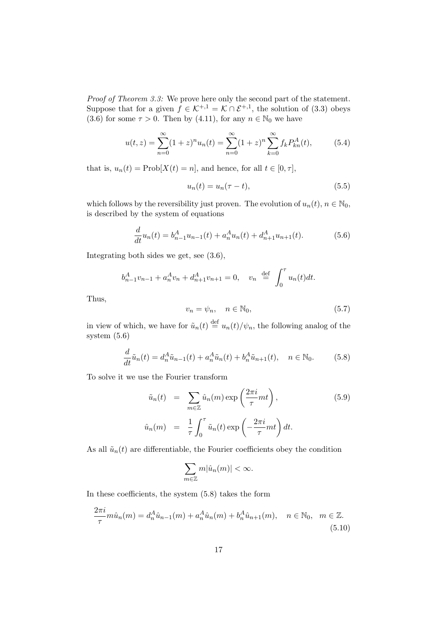*Proof of Theorem 3.3:* We prove here only the second part of the statement. Suppose that for a given  $f \in \mathcal{K}^{+,1} = \mathcal{K} \cap \mathcal{E}^{+,1}$ , the solution of (3.3) obeys (3.6) for some  $\tau > 0$ . Then by (4.11), for any  $n \in \mathbb{N}_0$  we have

$$
u(t,z) = \sum_{n=0}^{\infty} (1+z)^n u_n(t) = \sum_{n=0}^{\infty} (1+z)^n \sum_{k=0}^{\infty} f_k P_{kn}^A(t),
$$
 (5.4)

that is,  $u_n(t) = \text{Prob}[X(t) = n]$ , and hence, for all  $t \in [0, \tau]$ ,

$$
u_n(t) = u_n(\tau - t), \tag{5.5}
$$

which follows by the reversibility just proven. The evolution of  $u_n(t)$ ,  $n \in \mathbb{N}_0$ , is described by the system of equations

$$
\frac{d}{dt}u_n(t) = b_{n-1}^A u_{n-1}(t) + a_n^A u_n(t) + d_{n+1}^A u_{n+1}(t).
$$
 (5.6)

Integrating both sides we get, see (3.6),

$$
b_{n-1}^{A}v_{n-1} + a_{n}^{A}v_{n} + d_{n+1}^{A}v_{n+1} = 0, \quad v_{n} \stackrel{\text{def}}{=} \int_{0}^{\tau} u_{n}(t)dt.
$$

Thus,

$$
v_n = \psi_n, \quad n \in \mathbb{N}_0,\tag{5.7}
$$

in view of which, we have for  $\tilde{u}_n(t) \stackrel{\text{def}}{=} u_n(t)/\psi_n$ , the following analog of the system (5.6)

$$
\frac{d}{dt}\tilde{u}_n(t) = d_n^A \tilde{u}_{n-1}(t) + a_n^A \tilde{u}_n(t) + b_n^A \tilde{u}_{n+1}(t), \quad n \in \mathbb{N}_0.
$$
 (5.8)

To solve it we use the Fourier transform

$$
\tilde{u}_n(t) = \sum_{m \in \mathbb{Z}} \hat{u}_n(m) \exp\left(\frac{2\pi i}{\tau} m t\right),
$$
\n
$$
\hat{u}_n(m) = \frac{1}{\tau} \int_0^{\tau} \tilde{u}_n(t) \exp\left(-\frac{2\pi i}{\tau} m t\right) dt.
$$
\n(5.9)

As all  $\tilde{u}_n(t)$  are differentiable, the Fourier coefficients obey the condition

$$
\sum_{m\in\mathbb{Z}}m|\hat{u}_n(m)|<\infty.
$$

In these coefficients, the system (5.8) takes the form

$$
\frac{2\pi i}{\tau} m \hat{u}_n(m) = d_n^A \hat{u}_{n-1}(m) + a_n^A \hat{u}_n(m) + b_n^A \hat{u}_{n+1}(m), \quad n \in \mathbb{N}_0, \quad m \in \mathbb{Z}.
$$
\n(5.10)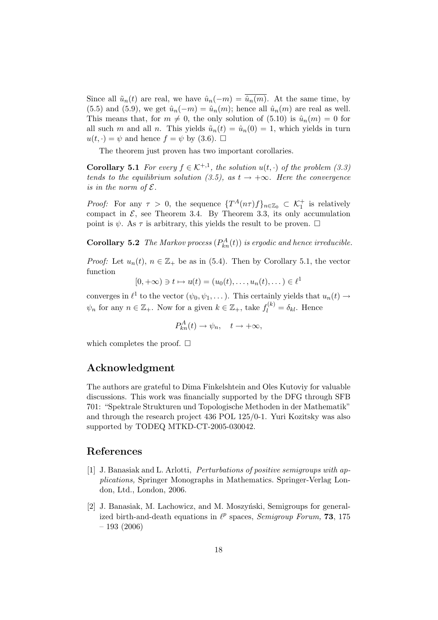Since all  $\tilde{u}_n(t)$  are real, we have  $\hat{u}_n(-m) = \hat{u}_n(m)$ . At the same time, by (5.5) and (5.9), we get  $\hat{u}_n(-m) = \hat{u}_n(m)$ ; hence all  $\hat{u}_n(m)$  are real as well. This means that, for  $m \neq 0$ , the only solution of (5.10) is  $\hat{u}_n(m) = 0$  for all such *m* and all *n*. This yields  $\tilde{u}_n(t) = \hat{u}_n(0) = 1$ , which yields in turn  $u(t, \cdot) = \psi$  and hence  $f = \psi$  by (3.6).  $\Box$ 

The theorem just proven has two important corollaries.

**Corollary 5.1** *For every*  $f \in K^{+,1}$ , *the solution*  $u(t, \cdot)$  *of the problem* (3.3) *tends to the equilibrium solution (3.5), as*  $t \rightarrow +\infty$ *. Here the convergence is in the norm of*  $\mathcal{E}$ *.* 

*Proof:* For any  $\tau > 0$ , the sequence  $\{T^A(n\tau)f\}_{n\in\mathbb{Z}_0} \subset \mathcal{K}_1^+$  is relatively compact in  $\mathcal{E}$ , see Theorem 3.4. By Theorem 3.3, its only accumulation point is  $\psi$ . As  $\tau$  is arbitrary, this yields the result to be proven.  $\Box$ 

**Corollary 5.2** *The Markov process*  $(P_{kn}^A(t))$  *is ergodic and hence irreducible.* 

*Proof:* Let  $u_n(t)$ ,  $n \in \mathbb{Z}_+$  be as in (5.4). Then by Corollary 5.1, the vector function

$$
[0, +\infty) \ni t \mapsto u(t) = (u_0(t), \dots, u_n(t), \dots) \in \ell^1
$$

converges in  $\ell^1$  to the vector  $(\psi_0, \psi_1, \dots)$ . This certainly yields that  $u_n(t) \to$  $\psi_n$  for any  $n \in \mathbb{Z}_+$ . Now for a given  $k \in \mathbb{Z}_+$ , take  $f_l^{(k)} = \delta_{kl}$ . Hence

$$
P_{kn}^A(t) \to \psi_n, \quad t \to +\infty,
$$

which completes the proof.  $\Box$ 

## **Acknowledgment**

The authors are grateful to Dima Finkelshtein and Oles Kutoviy for valuable discussions. This work was financially supported by the DFG through SFB 701: "Spektrale Strukturen und Topologische Methoden in der Mathematik" and through the research project 436 POL 125/0-1. Yuri Kozitsky was also supported by TODEQ MTKD-CT-2005-030042.

## **References**

- [1] J. Banasiak and L. Arlotti, *Perturbations of positive semigroups with applications,* Springer Monographs in Mathematics. Springer-Verlag London, Ltd., London, 2006.
- [2] J. Banasiak, M. Lachowicz, and M. Moszyński, Semigroups for generalized birth-and-death equations in  $\ell^p$  spaces, *Semigroup Forum*, **73**, 175 – 193 (2006)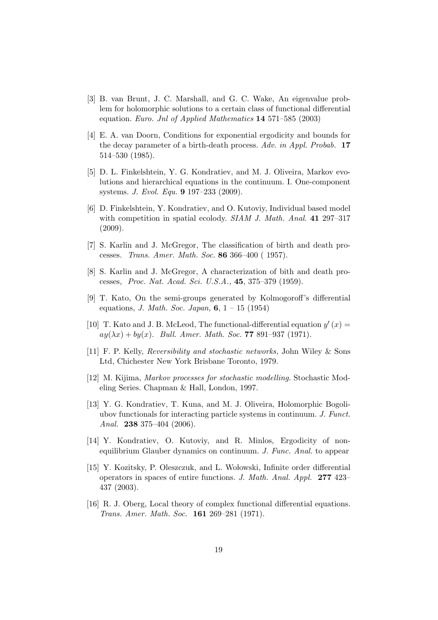- [3] B. van Brunt, J. C. Marshall, and G. C. Wake, An eigenvalue problem for holomorphic solutions to a certain class of functional differential equation. *Euro. Jnl of Applied Mathematics* **14** 571–585 (2003)
- [4] E. A. van Doorn, Conditions for exponential ergodicity and bounds for the decay parameter of a birth-death process. *Adv. in Appl. Probab.* **17** 514–530 (1985).
- [5] D. L. Finkelshtein, Y. G. Kondratiev, and M. J. Oliveira, Markov evolutions and hierarchical equations in the continuum. I. One-component systems. *J. Evol. Equ.* **9** 197–233 (2009).
- [6] D. Finkelshtein, Y. Kondratiev, and O. Kutoviy, Individual based model with competition in spatial ecolody. *SIAM J. Math. Anal.* **41** 297–317 (2009).
- [7] S. Karlin and J. McGregor, The classification of birth and death processes. *Trans. Amer. Math. Soc.* **86** 366–400 ( 1957).
- [8] S. Karlin and J. McGregor, A characterization of bith and death processes, *Proc. Nat. Acad. Sci. U.S.A.,* **45**, 375–379 (1959).
- [9] T. Kato, On the semi-groups generated by Kolmogoroff's differential equations, *J. Math. Soc. Japan,* **6**, 1 – 15 (1954)
- [10] T. Kato and J. B. McLeod, The functional-differential equation  $y'(x) =$  $ay(\lambda x) + by(x)$ . *Bull. Amer. Math. Soc.* **77** 891–937 (1971).
- [11] F. P. Kelly, *Reversibility and stochastic networks,* John Wiley & Sons Ltd, Chichester New York Brisbane Toronto, 1979.
- [12] M. Kijima, *Markov processes for stochastic modelling.* Stochastic Modeling Series. Chapman & Hall, London, 1997.
- [13] Y. G. Kondratiev, T. Kuna, and M. J. Oliveira, Holomorphic Bogoliubov functionals for interacting particle systems in continuum. *J. Funct. Anal.* **238** 375–404 (2006).
- [14] Y. Kondratiev, O. Kutoviy, and R. Minlos, Ergodicity of nonequilibrium Glauber dynamics on continuum. *J. Func. Anal.* to appear
- [15] Y. Kozitsky, P. Oleszczuk, and L. Wołowski, Infinite order differential operators in spaces of entire functions. *J. Math. Anal. Appl.* **277** 423– 437 (2003).
- [16] R. J. Oberg, Local theory of complex functional differential equations. *Trans. Amer. Math. Soc.* **161** 269–281 (1971).